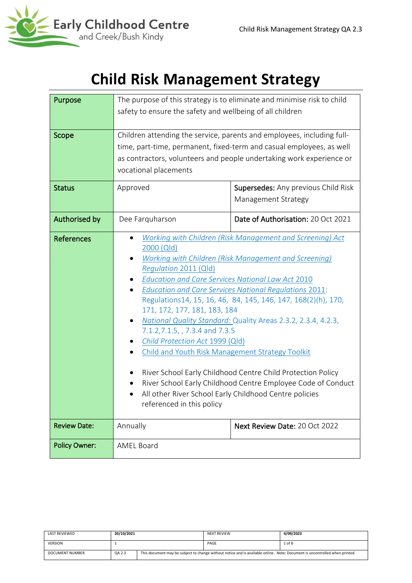

# **Child Risk Management Strategy**

| Purpose              |                                                                                                | The purpose of this strategy is to eliminate and minimise risk to child |  |  |
|----------------------|------------------------------------------------------------------------------------------------|-------------------------------------------------------------------------|--|--|
|                      | safety to ensure the safety and wellbeing of all children                                      |                                                                         |  |  |
|                      |                                                                                                |                                                                         |  |  |
| Scope                | Children attending the service, parents and employees, including full-                         |                                                                         |  |  |
|                      |                                                                                                | time, part-time, permanent, fixed-term and casual employees, as well    |  |  |
|                      |                                                                                                | as contractors, volunteers and people undertaking work experience or    |  |  |
|                      | vocational placements                                                                          |                                                                         |  |  |
| <b>Status</b>        | Approved                                                                                       | <b>Supersedes:</b> Any previous Child Risk                              |  |  |
|                      |                                                                                                | Management Strategy                                                     |  |  |
| Authorised by        | Dee Farquharson                                                                                | Date of Authorisation: 20 Oct 2021                                      |  |  |
| <b>References</b>    | $\bullet$                                                                                      | Working with Children (Risk Management and Screening) Act               |  |  |
|                      | 2000 (Qld)                                                                                     |                                                                         |  |  |
|                      | <b>Working with Children (Risk Management and Screening)</b>                                   |                                                                         |  |  |
|                      | Regulation 2011 (Qld)                                                                          |                                                                         |  |  |
|                      | <b>Education and Care Services National Law Act 2010</b>                                       |                                                                         |  |  |
|                      | <b>Education and Care Services National Regulations 2011:</b>                                  |                                                                         |  |  |
|                      | Regulations 14, 15, 16, 46, 84, 145, 146, 147, 168(2)(h), 170,<br>171, 172, 177, 181, 183, 184 |                                                                         |  |  |
|                      | National Quality Standard: Quality Areas 2.3.2, 2.3.4, 4.2.3,<br>٠                             |                                                                         |  |  |
|                      | 7.1.2, 7.1.5, , 7.3.4 and 7.3.5                                                                |                                                                         |  |  |
|                      | Child Protection Act 1999 (Qld)                                                                |                                                                         |  |  |
|                      | <b>Child and Youth Risk Management Strategy Toolkit</b>                                        |                                                                         |  |  |
|                      |                                                                                                |                                                                         |  |  |
|                      |                                                                                                | River School Early Childhood Centre Child Protection Policy             |  |  |
|                      | River School Early Childhood Centre Employee Code of Conduct                                   |                                                                         |  |  |
|                      | All other River School Early Childhood Centre policies                                         |                                                                         |  |  |
|                      | referenced in this policy                                                                      |                                                                         |  |  |
| <b>Review Date:</b>  | Annually<br>Next Review Date: 20 Oct 2022                                                      |                                                                         |  |  |
| <b>Policy Owner:</b> | <b>AMEL Board</b>                                                                              |                                                                         |  |  |
|                      |                                                                                                |                                                                         |  |  |

| <b>LAST REVIEWED</b> | 20/10/2021 | <b>NEXT REVIEW</b>                                                                                                          | 4/09/2023 |
|----------------------|------------|-----------------------------------------------------------------------------------------------------------------------------|-----------|
| <b>VERSION</b>       |            | PAGE                                                                                                                        | 1 of 8    |
| DOCUMENT NUMBER      | QA 2.3     | This document may be subject to change without notice and is available online. Note: Document is uncontrolled when printed. |           |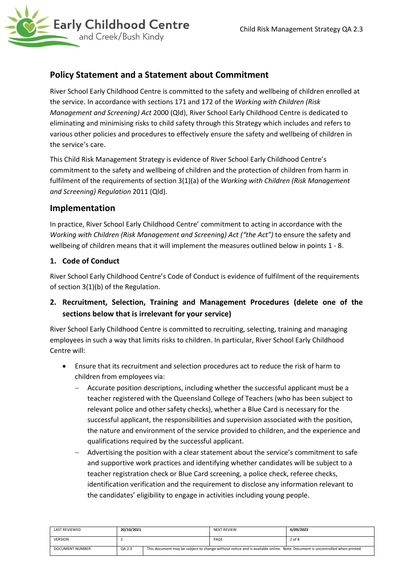## **Policy Statement and a Statement about Commitment**

River School Early Childhood Centre is committed to the safety and wellbeing of children enrolled at the service. In accordance with sections 171 and 172 of the *Working with Children (Risk Management and Screening) Act* 2000 (Qld), River School Early Childhood Centre is dedicated to eliminating and minimising risks to child safety through this Strategy which includes and refers to various other policies and procedures to effectively ensure the safety and wellbeing of children in the service's care.

This Child Risk Management Strategy is evidence of River School Early Childhood Centre's commitment to the safety and wellbeing of children and the protection of children from harm in fulfilment of the requirements of section 3(1)(a) of the *Working with Children (Risk Management and Screening) Regulation* 2011 (Qld).

## **Implementation**

In practice, River School Early Childhood Centre' commitment to acting in accordance with the *Working with Children (Risk Management and Screening) Act ("the Act")* to ensure the safety and wellbeing of children means that it will implement the measures outlined below in points 1 - 8.

#### **1. Code of Conduct**

River School Early Childhood Centre's Code of Conduct is evidence of fulfilment of the requirements of section 3(1)(b) of the Regulation.

**2. Recruitment, Selection, Training and Management Procedures (delete one of the sections below that is irrelevant for your service)**

River School Early Childhood Centre is committed to recruiting, selecting, training and managing employees in such a way that limits risks to children. In particular, River School Early Childhood Centre will:

- Ensure that its recruitment and selection procedures act to reduce the risk of harm to children from employees via:
	- − Accurate position descriptions, including whether the successful applicant must be a teacher registered with the Queensland College of Teachers (who has been subject to relevant police and other safety checks), whether a Blue Card is necessary for the successful applicant, the responsibilities and supervision associated with the position, the nature and environment of the service provided to children, and the experience and qualifications required by the successful applicant.
	- − Advertising the position with a clear statement about the service's commitment to safe and supportive work practices and identifying whether candidates will be subject to a teacher registration check or Blue Card screening, a police check, referee checks, identification verification and the requirement to disclose any information relevant to the candidates' eligibility to engage in activities including young people.

| <b>LAST REVIEWED</b> | 20/10/2021 |                                                                                                                             | <b>NEXT REVIEW</b> | 4/09/2023 |
|----------------------|------------|-----------------------------------------------------------------------------------------------------------------------------|--------------------|-----------|
| <b>VERSION</b>       |            |                                                                                                                             | PAGE               | 2 of 8    |
| DOCUMENT NUMBER      | QA 2.3     | This document may be subject to change without notice and is available online. Note: Document is uncontrolled when printed. |                    |           |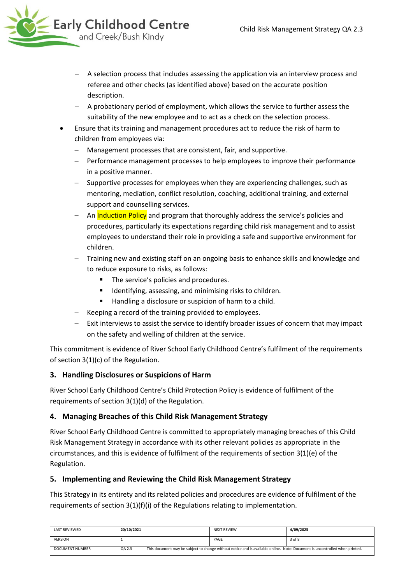

- A selection process that includes assessing the application via an interview process and referee and other checks (as identified above) based on the accurate position description.
- − A probationary period of employment, which allows the service to further assess the suitability of the new employee and to act as a check on the selection process.
- Ensure that its training and management procedures act to reduce the risk of harm to children from employees via:
	- − Management processes that are consistent, fair, and supportive.
	- − Performance management processes to help employees to improve their performance in a positive manner.
	- − Supportive processes for employees when they are experiencing challenges, such as mentoring, mediation, conflict resolution, coaching, additional training, and external support and counselling services.
	- − An Induction Policy and program that thoroughly address the service's policies and procedures, particularly its expectations regarding child risk management and to assist employees to understand their role in providing a safe and supportive environment for children.
	- Training new and existing staff on an ongoing basis to enhance skills and knowledge and to reduce exposure to risks, as follows:
		- The service's policies and procedures.
		- Identifying, assessing, and minimising risks to children.
		- Handling a disclosure or suspicion of harm to a child.
	- − Keeping a record of the training provided to employees.
	- − Exit interviews to assist the service to identify broader issues of concern that may impact on the safety and welling of children at the service.

This commitment is evidence of River School Early Childhood Centre's fulfilment of the requirements of section 3(1)(c) of the Regulation.

#### **3. Handling Disclosures or Suspicions of Harm**

River School Early Childhood Centre's Child Protection Policy is evidence of fulfilment of the requirements of section 3(1)(d) of the Regulation.

#### **4. Managing Breaches of this Child Risk Management Strategy**

River School Early Childhood Centre is committed to appropriately managing breaches of this Child Risk Management Strategy in accordance with its other relevant policies as appropriate in the circumstances, and this is evidence of fulfilment of the requirements of section 3(1)(e) of the Regulation.

#### **5. Implementing and Reviewing the Child Risk Management Strategy**

This Strategy in its entirety and its related policies and procedures are evidence of fulfilment of the requirements of section 3(1)(f)(i) of the Regulations relating to implementation.

| LAST REVIEWED   | 20/10/2021 | <b>NEXT REVIEW</b>                                                                                                          | 4/09/2023 |
|-----------------|------------|-----------------------------------------------------------------------------------------------------------------------------|-----------|
| <b>VERSION</b>  |            | PAGE                                                                                                                        | 3 of 8    |
| DOCUMENT NUMBER | QA 2.3     | This document may be subject to change without notice and is available online. Note: Document is uncontrolled when printed. |           |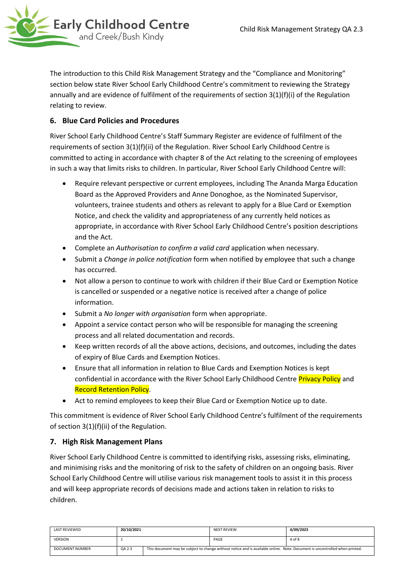

The introduction to this Child Risk Management Strategy and the "Compliance and Monitoring" section below state River School Early Childhood Centre's commitment to reviewing the Strategy annually and are evidence of fulfilment of the requirements of section 3(1)(f)(i) of the Regulation relating to review.

### **6. Blue Card Policies and Procedures**

River School Early Childhood Centre's Staff Summary Register are evidence of fulfilment of the requirements of section 3(1)(f)(ii) of the Regulation. River School Early Childhood Centre is committed to acting in accordance with chapter 8 of the Act relating to the screening of employees in such a way that limits risks to children. In particular, River School Early Childhood Centre will:

- Require relevant perspective or current employees, including The Ananda Marga Education Board as the Approved Providers and Anne Donoghoe, as the Nominated Supervisor, volunteers, trainee students and others as relevant to apply for a Blue Card or Exemption Notice, and check the validity and appropriateness of any currently held notices as appropriate, in accordance with River School Early Childhood Centre's position descriptions and the Act.
- Complete an *Authorisation to confirm a valid card* application when necessary.
- Submit a *Change in police notification* form when notified by employee that such a change has occurred.
- Not allow a person to continue to work with children if their Blue Card or Exemption Notice is cancelled or suspended or a negative notice is received after a change of police information.
- Submit a *No longer with organisation* form when appropriate.
- Appoint a service contact person who will be responsible for managing the screening process and all related documentation and records.
- Keep written records of all the above actions, decisions, and outcomes, including the dates of expiry of Blue Cards and Exemption Notices.
- Ensure that all information in relation to Blue Cards and Exemption Notices is kept confidential in accordance with the River School Early Childhood Centre **Privacy Policy** and Record Retention Policy.
- Act to remind employees to keep their Blue Card or Exemption Notice up to date.

This commitment is evidence of River School Early Childhood Centre's fulfilment of the requirements of section 3(1)(f)(ii) of the Regulation.

#### **7. High Risk Management Plans**

River School Early Childhood Centre is committed to identifying risks, assessing risks, eliminating, and minimising risks and the monitoring of risk to the safety of children on an ongoing basis. River School Early Childhood Centre will utilise various risk management tools to assist it in this process and will keep appropriate records of decisions made and actions taken in relation to risks to children.

| LAST REVIEWED   | 20/10/2021 | <b>NEXT REVIEW</b>                                                                                                          | 4/09/2023 |
|-----------------|------------|-----------------------------------------------------------------------------------------------------------------------------|-----------|
| <b>VERSION</b>  |            | PAGE                                                                                                                        | 4 of 8    |
| DOCUMENT NUMBER | QA 2.3     | This document may be subject to change without notice and is available online. Note: Document is uncontrolled when printed. |           |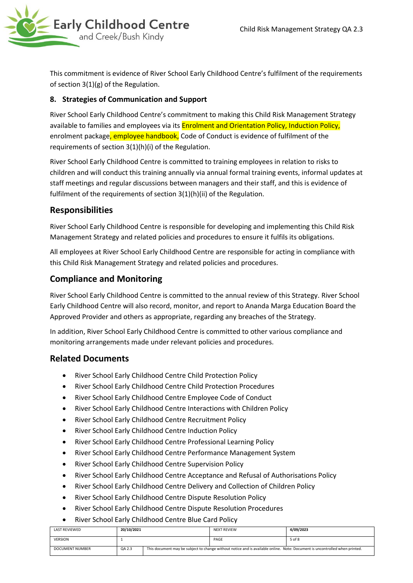

This commitment is evidence of River School Early Childhood Centre's fulfilment of the requirements of section 3(1)(g) of the Regulation.

#### **8. Strategies of Communication and Support**

River School Early Childhood Centre's commitment to making this Child Risk Management Strategy available to families and employees via its **Enrolment and Orientation Policy, Induction Policy,** enrolment package, employee handbook, Code of Conduct is evidence of fulfilment of the requirements of section 3(1)(h)(i) of the Regulation.

River School Early Childhood Centre is committed to training employees in relation to risks to children and will conduct this training annually via annual formal training events, informal updates at staff meetings and regular discussions between managers and their staff, and this is evidence of fulfilment of the requirements of section 3(1)(h)(ii) of the Regulation.

### **Responsibilities**

River School Early Childhood Centre is responsible for developing and implementing this Child Risk Management Strategy and related policies and procedures to ensure it fulfils its obligations.

All employees at River School Early Childhood Centre are responsible for acting in compliance with this Child Risk Management Strategy and related policies and procedures.

### **Compliance and Monitoring**

River School Early Childhood Centre is committed to the annual review of this Strategy. River School Early Childhood Centre will also record, monitor, and report to Ananda Marga Education Board the Approved Provider and others as appropriate, regarding any breaches of the Strategy.

In addition, River School Early Childhood Centre is committed to other various compliance and monitoring arrangements made under relevant policies and procedures.

### **Related Documents**

- River School Early Childhood Centre Child Protection Policy
- River School Early Childhood Centre Child Protection Procedures
- River School Early Childhood Centre Employee Code of Conduct
- River School Early Childhood Centre Interactions with Children Policy
- River School Early Childhood Centre Recruitment Policy
- River School Early Childhood Centre Induction Policy
- River School Early Childhood Centre Professional Learning Policy
- River School Early Childhood Centre Performance Management System
- River School Early Childhood Centre Supervision Policy
- River School Early Childhood Centre Acceptance and Refusal of Authorisations Policy
- River School Early Childhood Centre Delivery and Collection of Children Policy
- River School Early Childhood Centre Dispute Resolution Policy
- River School Early Childhood Centre Dispute Resolution Procedures
- River School Early Childhood Centre Blue Card Policy

| <b>LAST REVIEWED</b>   | 20/10/2021 | <b>NEXT REVIEW</b> | 4/09/2023                                                                                                                   |
|------------------------|------------|--------------------|-----------------------------------------------------------------------------------------------------------------------------|
| <b>VERSION</b>         |            | PAGE               | 5 of 8                                                                                                                      |
| <b>DOCUMENT NUMBER</b> | QA 2.3     |                    | This document may be subject to change without notice and is available online. Note: Document is uncontrolled when printed. |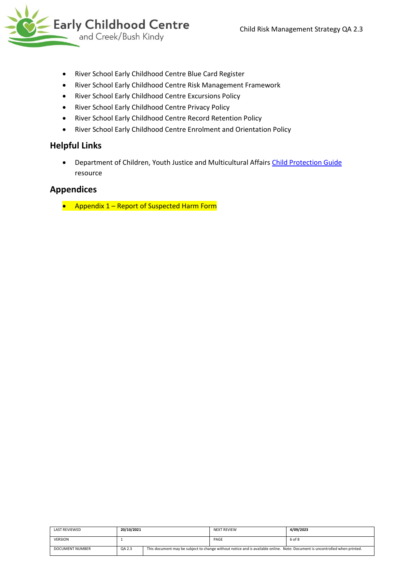

- River School Early Childhood Centre Blue Card Register
- River School Early Childhood Centre Risk Management Framework
- River School Early Childhood Centre Excursions Policy
- River School Early Childhood Centre Privacy Policy
- River School Early Childhood Centre Record Retention Policy
- River School Early Childhood Centre Enrolment and Orientation Policy

#### **Helpful Links**

• Department of Children, Youth Justice and Multicultural Affairs [Child Protection Guide](https://www.cyjma.qld.gov.au/search?query=child+protection+guide&profile=childsafety) resource

### **Appendices**

• Appendix 1 – Report of Suspected Harm Form

| LAST REVIEWED   | 20/10/2021 | <b>NEXT REVIEW</b> | 4/09/2023                                                                                                                   |
|-----------------|------------|--------------------|-----------------------------------------------------------------------------------------------------------------------------|
| <b>VERSION</b>  |            | PAGE               | 6 of 8                                                                                                                      |
| DOCUMENT NUMBER | QA 2.3     |                    | This document may be subject to change without notice and is available online. Note: Document is uncontrolled when printed. |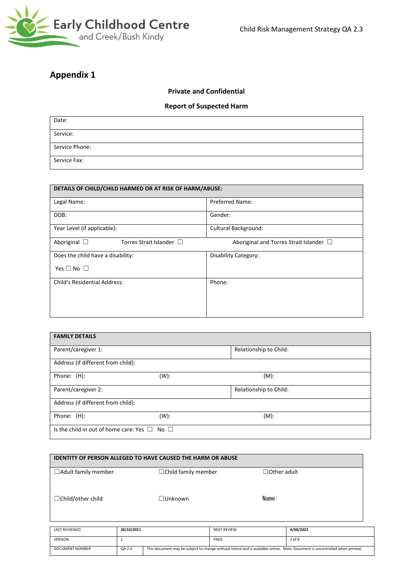

## **Appendix 1**

#### **Private and Confidential**

#### **Report of Suspected Harm**

| Date:          |  |
|----------------|--|
| Service:       |  |
| Service Phone: |  |
| Service Fax:   |  |

| DETAILS OF CHILD/CHILD HARMED OR AT RISK OF HARM/ABUSE: |                                              |  |  |  |
|---------------------------------------------------------|----------------------------------------------|--|--|--|
| Legal Name:                                             | <b>Preferred Name:</b>                       |  |  |  |
| DOB:                                                    | Gender:                                      |  |  |  |
| Year Level (if applicable):                             | <b>Cultural Background:</b>                  |  |  |  |
| Aboriginal $\Box$<br>Torres Strait Islander $\Box$      | Aboriginal and Torres Strait Islander $\Box$ |  |  |  |
| Does the child have a disability:                       | Disability Category:                         |  |  |  |
| Yes $\Box$ No $\Box$                                    |                                              |  |  |  |
| <b>Child's Residential Address:</b>                     | Phone:                                       |  |  |  |
|                                                         |                                              |  |  |  |
|                                                         |                                              |  |  |  |

| <b>FAMILY DETAILS</b>                                  |         |                        |  |
|--------------------------------------------------------|---------|------------------------|--|
| Parent/caregiver 1:                                    |         | Relationship to Child: |  |
| Address (if different from child):                     |         |                        |  |
| Phone: (H):                                            | (W):    | $(M)$ :                |  |
| Parent/caregiver 2:                                    |         | Relationship to Child: |  |
| Address (if different from child):                     |         |                        |  |
| Phone: (H):                                            | $(W)$ : | $(M)$ :                |  |
| Is the child in out of home care: Yes $\Box$ No $\Box$ |         |                        |  |

| <b>IDENTITY OF PERSON ALLEGED TO HAVE CAUSED THE HARM OR ABUSE</b> |                            |                    |  |  |  |
|--------------------------------------------------------------------|----------------------------|--------------------|--|--|--|
| $\Box$ Adult family member                                         | $\Box$ Child family member | $\Box$ Other adult |  |  |  |
| $\Box$ Child/other child                                           | □Unknown                   | Name:              |  |  |  |

| LAST REVIEWED   | 20/10/2021 |                                                                                                                             | NEXT REVIEW | 4/09/2023 |
|-----------------|------------|-----------------------------------------------------------------------------------------------------------------------------|-------------|-----------|
| <b>VERSION</b>  |            |                                                                                                                             | PAGE        | 7 of 8    |
| DOCUMENT NUMBER | QA 2.3     | This document may be subject to change without notice and is available online. Note: Document is uncontrolled when printed. |             |           |